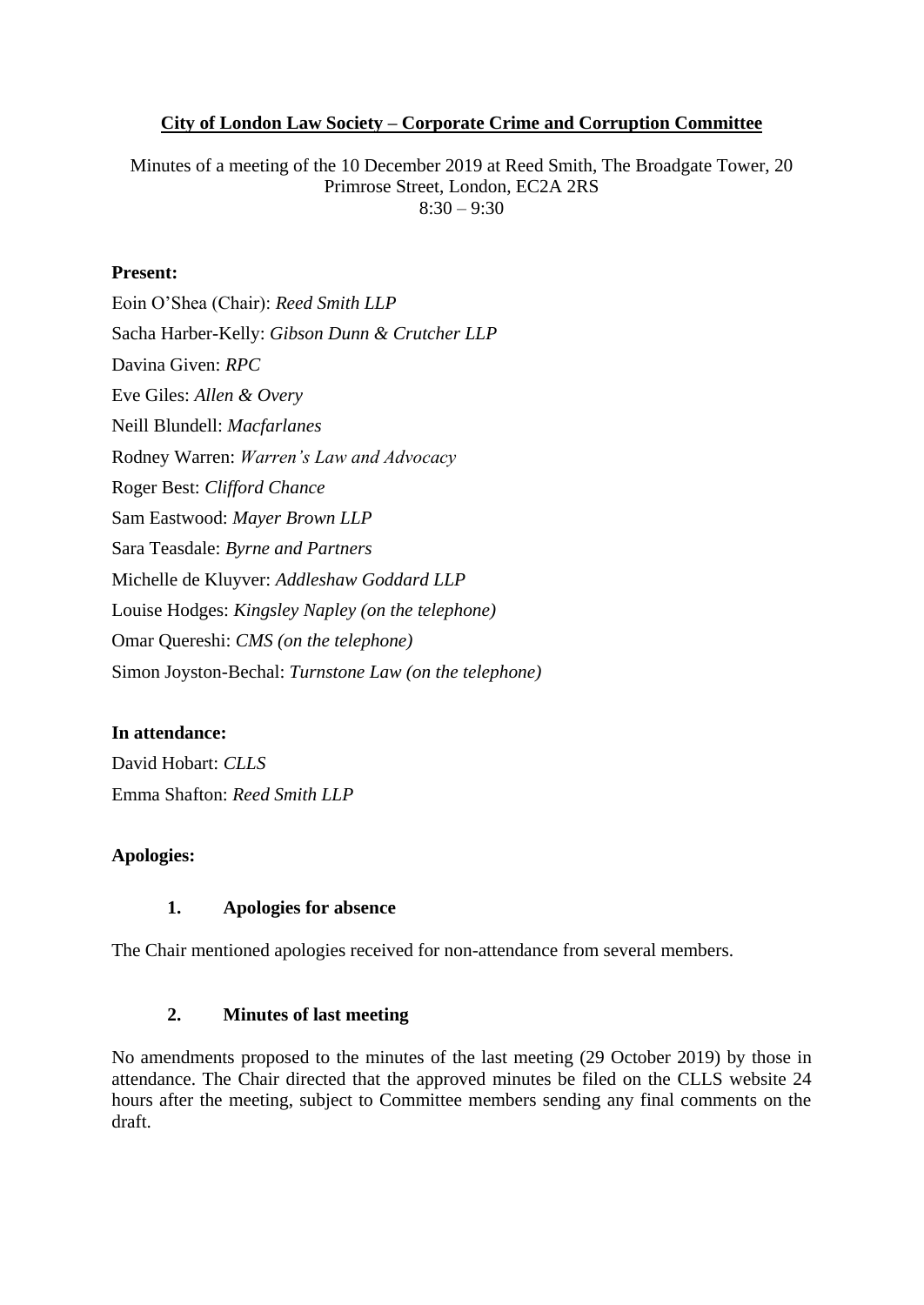### **City of London Law Society – Corporate Crime and Corruption Committee**

Minutes of a meeting of the 10 December 2019 at Reed Smith, The Broadgate Tower, 20 Primrose Street, London, EC2A 2RS  $8:30 - 9:30$ 

#### **Present:**

Eoin O'Shea (Chair): *Reed Smith LLP* Sacha Harber-Kelly: *Gibson Dunn & Crutcher LLP* Davina Given: *RPC* Eve Giles: *Allen & Overy* Neill Blundell: *Macfarlanes* Rodney Warren: *Warren's Law and Advocacy* Roger Best: *Clifford Chance* Sam Eastwood: *Mayer Brown LLP* Sara Teasdale: *Byrne and Partners* Michelle de Kluyver: *Addleshaw Goddard LLP* Louise Hodges: *Kingsley Napley (on the telephone)* Omar Quereshi: *CMS (on the telephone)* Simon Joyston-Bechal: *Turnstone Law (on the telephone)*

### **In attendance:**

David Hobart: *CLLS* Emma Shafton: *Reed Smith LLP*

### **Apologies:**

### **1. Apologies for absence**

The Chair mentioned apologies received for non-attendance from several members.

### **2. Minutes of last meeting**

No amendments proposed to the minutes of the last meeting (29 October 2019) by those in attendance. The Chair directed that the approved minutes be filed on the CLLS website 24 hours after the meeting, subject to Committee members sending any final comments on the draft.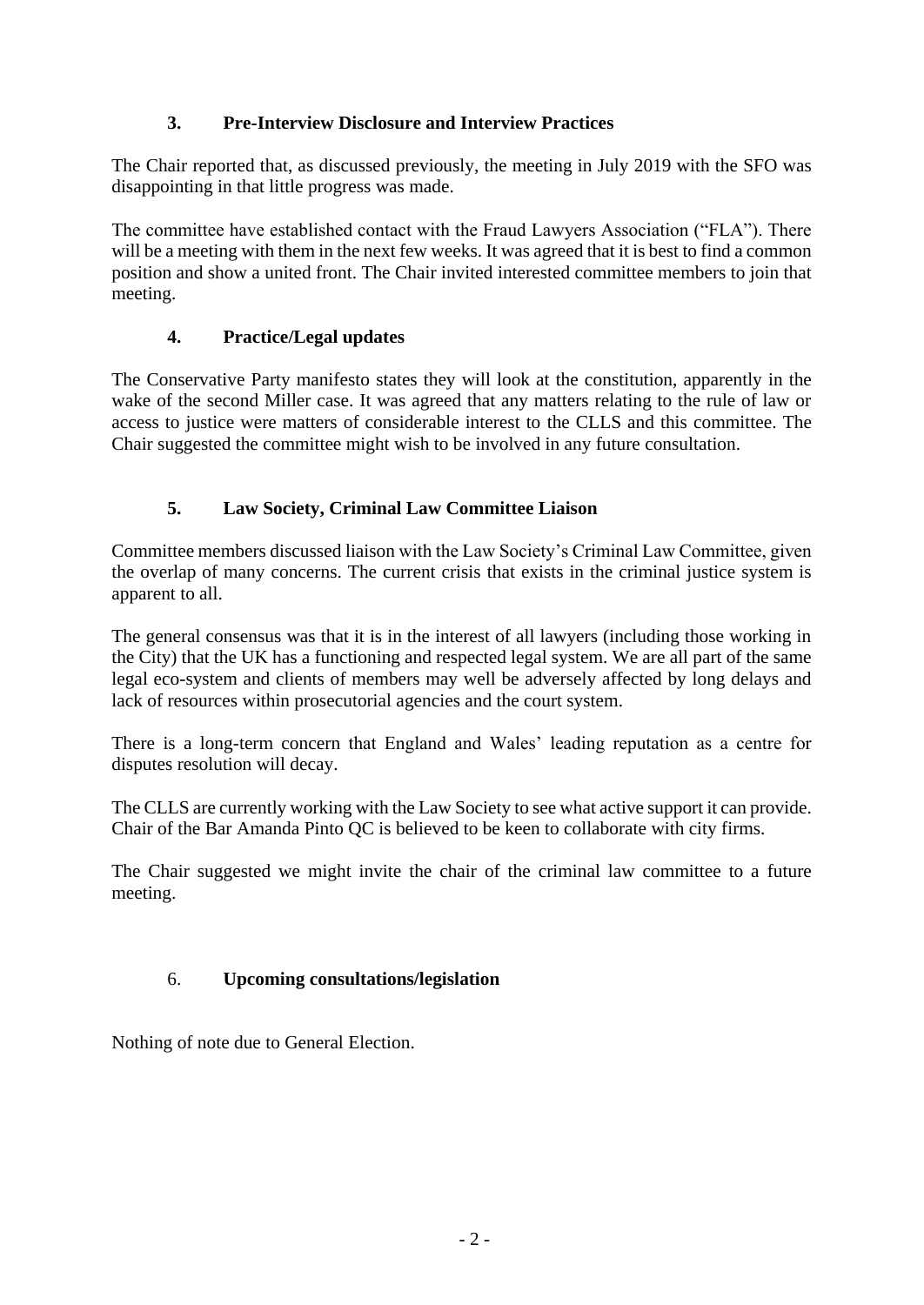## **3. Pre-Interview Disclosure and Interview Practices**

The Chair reported that, as discussed previously, the meeting in July 2019 with the SFO was disappointing in that little progress was made.

The committee have established contact with the Fraud Lawyers Association ("FLA"). There will be a meeting with them in the next few weeks. It was agreed that it is best to find a common position and show a united front. The Chair invited interested committee members to join that meeting.

# **4. Practice/Legal updates**

The Conservative Party manifesto states they will look at the constitution, apparently in the wake of the second Miller case. It was agreed that any matters relating to the rule of law or access to justice were matters of considerable interest to the CLLS and this committee. The Chair suggested the committee might wish to be involved in any future consultation.

# **5. Law Society, Criminal Law Committee Liaison**

Committee members discussed liaison with the Law Society's Criminal Law Committee, given the overlap of many concerns. The current crisis that exists in the criminal justice system is apparent to all.

The general consensus was that it is in the interest of all lawyers (including those working in the City) that the UK has a functioning and respected legal system. We are all part of the same legal eco-system and clients of members may well be adversely affected by long delays and lack of resources within prosecutorial agencies and the court system.

There is a long-term concern that England and Wales' leading reputation as a centre for disputes resolution will decay.

The CLLS are currently working with the Law Society to see what active support it can provide. Chair of the Bar Amanda Pinto QC is believed to be keen to collaborate with city firms.

The Chair suggested we might invite the chair of the criminal law committee to a future meeting.

# 6. **Upcoming consultations/legislation**

Nothing of note due to General Election.